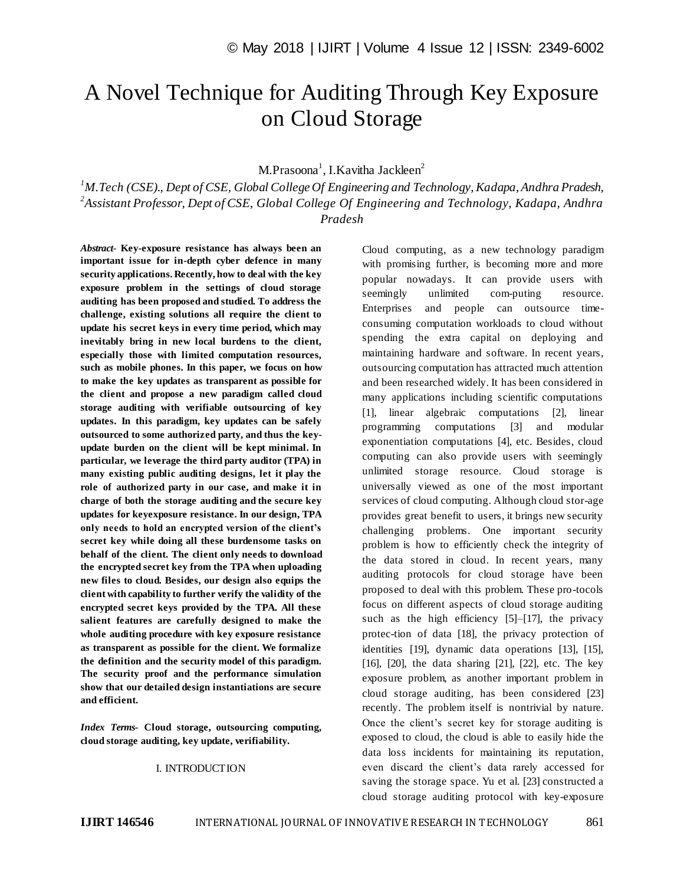# A Novel Technique for Auditing Through Key Exposure on Cloud Storage

M.Prasoona<sup>1</sup>, I.Kavitha Jackleen<sup>2</sup>

*<sup>1</sup>M.Tech (CSE)., Dept of CSE, Global College Of Engineering and Technology, Kadapa, Andhra Pradesh, 2 Assistant Professor, Dept of CSE, Global College Of Engineering and Technology, Kadapa, Andhra Pradesh*

*Abstract*- **Key-exposure resistance has always been an important issue for in-depth cyber defence in many security applications. Recently, how to deal with the key exposure problem in the settings of cloud storage auditing has been proposed and studied. To address the challenge, existing solutions all require the client to update his secret keys in every time period, which may inevitably bring in new local burdens to the client, especially those with limited computation resources, such as mobile phones. In this paper, we focus on how to make the key updates as transparent as possible for the client and propose a new paradigm called cloud storage auditing with verifiable outsourcing of key updates. In this paradigm, key updates can be safely outsourced to some authorized party, and thus the keyupdate burden on the client will be kept minimal. In particular, we leverage the third party auditor (TPA) in many existing public auditing designs, let it play the role of authorized party in our case, and make it in charge of both the storage auditing and the secure key updates for keyexposure resistance. In our design, TPA only needs to hold an encrypted version of the client's secret key while doing all these burdensome tasks on behalf of the client. The client only needs to download the encrypted secret key from the TPA when uploading new files to cloud. Besides, our design also equips the client with capability to further verify the validity of the encrypted secret keys provided by the TPA. All these salient features are carefully designed to make the whole auditing procedure with key exposure resistance as transparent as possible for the client. We formalize the definition and the security model of this paradigm. The security proof and the performance simulation show that our detailed design instantiations are secure and efficient.** 

*Index Terms***- Cloud storage, outsourcing computing, cloud storage auditing, key update, verifiability.**

# I. INTRODUCTION

Cloud computing, as a new technology paradigm with promising further, is becoming more and more popular nowadays. It can provide users with seemingly unlimited com-puting resource. Enterprises and people can outsource timeconsuming computation workloads to cloud without spending the extra capital on deploying and maintaining hardware and software. In recent years, outsourcing computation has attracted much attention and been researched widely. It has been considered in many applications including scientific computations [1], linear algebraic computations [2], linear programming computations [3] and modular exponentiation computations [4], etc. Besides, cloud computing can also provide users with seemingly unlimited storage resource. Cloud storage is universally viewed as one of the most important services of cloud computing. Although cloud stor-age provides great benefit to users, it brings new security challenging problems. One important security problem is how to efficiently check the integrity of the data stored in cloud. In recent years, many auditing protocols for cloud storage have been proposed to deal with this problem. These pro-tocols focus on different aspects of cloud storage auditing such as the high efficiency [5]–[17], the privacy protec-tion of data [18], the privacy protection of identities [19], dynamic data operations [13], [15], [16], [20], the data sharing [21], [22], etc. The key exposure problem, as another important problem in cloud storage auditing, has been considered [23] recently. The problem itself is nontrivial by nature. Once the client's secret key for storage auditing is exposed to cloud, the cloud is able to easily hide the data loss incidents for maintaining its reputation, even discard the client's data rarely accessed for saving the storage space. Yu et al. [23] constructed a cloud storage auditing protocol with key-exposure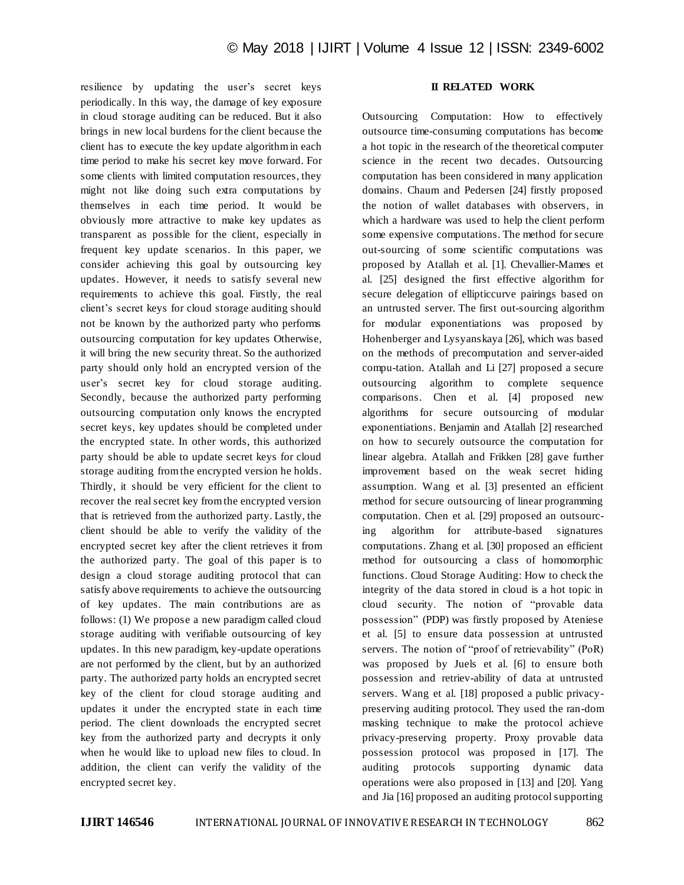resilience by updating the user's secret keys periodically. In this way, the damage of key exposure in cloud storage auditing can be reduced. But it also brings in new local burdens for the client because the client has to execute the key update algorithm in each time period to make his secret key move forward. For some clients with limited computation resources, they might not like doing such extra computations by themselves in each time period. It would be obviously more attractive to make key updates as transparent as possible for the client, especially in frequent key update scenarios. In this paper, we consider achieving this goal by outsourcing key updates. However, it needs to satisfy several new requirements to achieve this goal. Firstly, the real client's secret keys for cloud storage auditing should not be known by the authorized party who performs outsourcing computation for key updates Otherwise, it will bring the new security threat. So the authorized party should only hold an encrypted version of the user's secret key for cloud storage auditing. Secondly, because the authorized party performing outsourcing computation only knows the encrypted secret keys, key updates should be completed under the encrypted state. In other words, this authorized party should be able to update secret keys for cloud storage auditing from the encrypted version he holds. Thirdly, it should be very efficient for the client to recover the real secret key from the encrypted version that is retrieved from the authorized party. Lastly, the client should be able to verify the validity of the encrypted secret key after the client retrieves it from the authorized party. The goal of this paper is to design a cloud storage auditing protocol that can satisfy above requirements to achieve the outsourcing of key updates. The main contributions are as follows: (1) We propose a new paradigm called cloud storage auditing with verifiable outsourcing of key updates. In this new paradigm, key-update operations are not performed by the client, but by an authorized party. The authorized party holds an encrypted secret key of the client for cloud storage auditing and updates it under the encrypted state in each time period. The client downloads the encrypted secret key from the authorized party and decrypts it only when he would like to upload new files to cloud. In addition, the client can verify the validity of the encrypted secret key.

# **II RELATED WORK**

Outsourcing Computation: How to effectively outsource time-consuming computations has become a hot topic in the research of the theoretical computer science in the recent two decades. Outsourcing computation has been considered in many application domains. Chaum and Pedersen [24] firstly proposed the notion of wallet databases with observers, in which a hardware was used to help the client perform some expensive computations. The method for secure out-sourcing of some scientific computations was proposed by Atallah et al. [1]. Chevallier-Mames et al. [25] designed the first effective algorithm for secure delegation of ellipticcurve pairings based on an untrusted server. The first out-sourcing algorithm for modular exponentiations was proposed by Hohenberger and Lysyanskaya [26], which was based on the methods of precomputation and server-aided compu-tation. Atallah and Li [27] proposed a secure outsourcing algorithm to complete sequence comparisons. Chen et al. [4] proposed new algorithms for secure outsourcing of modular exponentiations. Benjamin and Atallah [2] researched on how to securely outsource the computation for linear algebra. Atallah and Frikken [28] gave further improvement based on the weak secret hiding assumption. Wang et al. [3] presented an efficient method for secure outsourcing of linear programming computation. Chen et al. [29] proposed an outsourcing algorithm for attribute-based signatures computations. Zhang et al. [30] proposed an efficient method for outsourcing a class of homomorphic functions. Cloud Storage Auditing: How to check the integrity of the data stored in cloud is a hot topic in cloud security. The notion of "provable data possession" (PDP) was firstly proposed by Ateniese et al. [5] to ensure data possession at untrusted servers. The notion of "proof of retrievability" (PoR) was proposed by Juels et al. [6] to ensure both possession and retriev-ability of data at untrusted servers. Wang et al. [18] proposed a public privacypreserving auditing protocol. They used the ran-dom masking technique to make the protocol achieve privacy-preserving property. Proxy provable data possession protocol was proposed in [17]. The auditing protocols supporting dynamic data operations were also proposed in [13] and [20]. Yang and Jia [16] proposed an auditing protocol supporting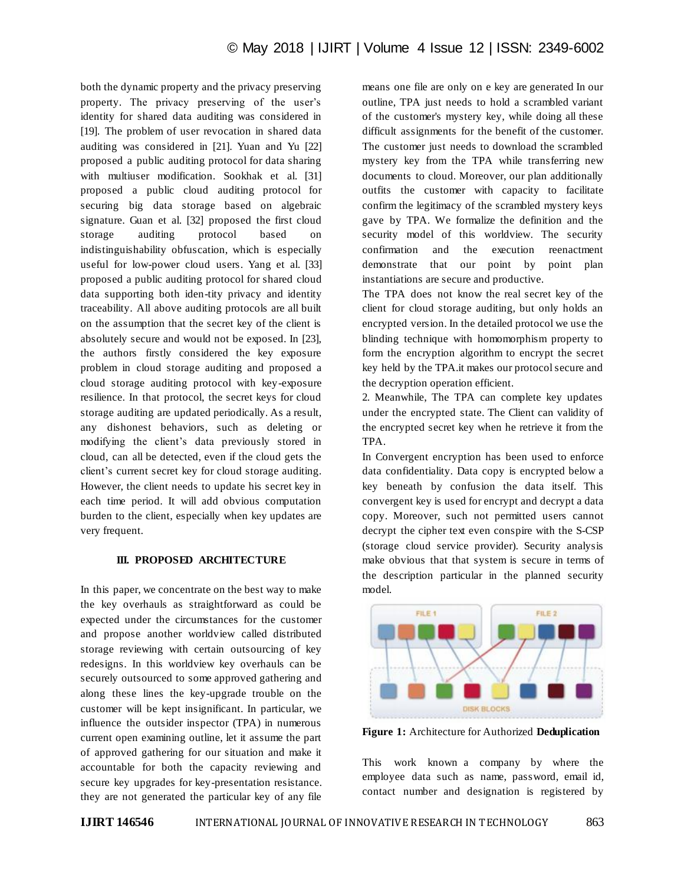both the dynamic property and the privacy preserving property. The privacy preserving of the user's identity for shared data auditing was considered in [19]. The problem of user revocation in shared data auditing was considered in [21]. Yuan and Yu [22] proposed a public auditing protocol for data sharing with multiuser modification. Sookhak et al. [31] proposed a public cloud auditing protocol for securing big data storage based on algebraic signature. Guan et al. [32] proposed the first cloud storage auditing protocol based on indistinguishability obfuscation, which is especially useful for low-power cloud users. Yang et al. [33] proposed a public auditing protocol for shared cloud data supporting both iden-tity privacy and identity traceability. All above auditing protocols are all built on the assumption that the secret key of the client is absolutely secure and would not be exposed. In [23], the authors firstly considered the key exposure problem in cloud storage auditing and proposed a cloud storage auditing protocol with key-exposure resilience. In that protocol, the secret keys for cloud storage auditing are updated periodically. As a result, any dishonest behaviors, such as deleting or modifying the client's data previously stored in cloud, can all be detected, even if the cloud gets the client's current secret key for cloud storage auditing. However, the client needs to update his secret key in each time period. It will add obvious computation burden to the client, especially when key updates are very frequent.

#### **III. PROPOSED ARCHITECTURE**

In this paper, we concentrate on the best way to make the key overhauls as straightforward as could be expected under the circumstances for the customer and propose another worldview called distributed storage reviewing with certain outsourcing of key redesigns. In this worldview key overhauls can be securely outsourced to some approved gathering and along these lines the key-upgrade trouble on the customer will be kept insignificant. In particular, we influence the outsider inspector (TPA) in numerous current open examining outline, let it assume the part of approved gathering for our situation and make it accountable for both the capacity reviewing and secure key upgrades for key-presentation resistance. they are not generated the particular key of any file means one file are only on e key are generated In our outline, TPA just needs to hold a scrambled variant of the customer's mystery key, while doing all these difficult assignments for the benefit of the customer. The customer just needs to download the scrambled mystery key from the TPA while transferring new documents to cloud. Moreover, our plan additionally outfits the customer with capacity to facilitate confirm the legitimacy of the scrambled mystery keys gave by TPA. We formalize the definition and the security model of this worldview. The security confirmation and the execution reenactment demonstrate that our point by point plan instantiations are secure and productive.

The TPA does not know the real secret key of the client for cloud storage auditing, but only holds an encrypted version. In the detailed protocol we use the blinding technique with homomorphism property to form the encryption algorithm to encrypt the secret key held by the TPA.it makes our protocol secure and the decryption operation efficient.

2. Meanwhile, The TPA can complete key updates under the encrypted state. The Client can validity of the encrypted secret key when he retrieve it from the TPA.

In Convergent encryption has been used to enforce data confidentiality. Data copy is encrypted below a key beneath by confusion the data itself. This convergent key is used for encrypt and decrypt a data copy. Moreover, such not permitted users cannot decrypt the cipher text even conspire with the S-CSP (storage cloud service provider). Security analysis make obvious that that system is secure in terms of the description particular in the planned security model.



**Figure 1:** Architecture for Authorized **Deduplication**

This work known a company by where the employee data such as name, password, email id, contact number and designation is registered by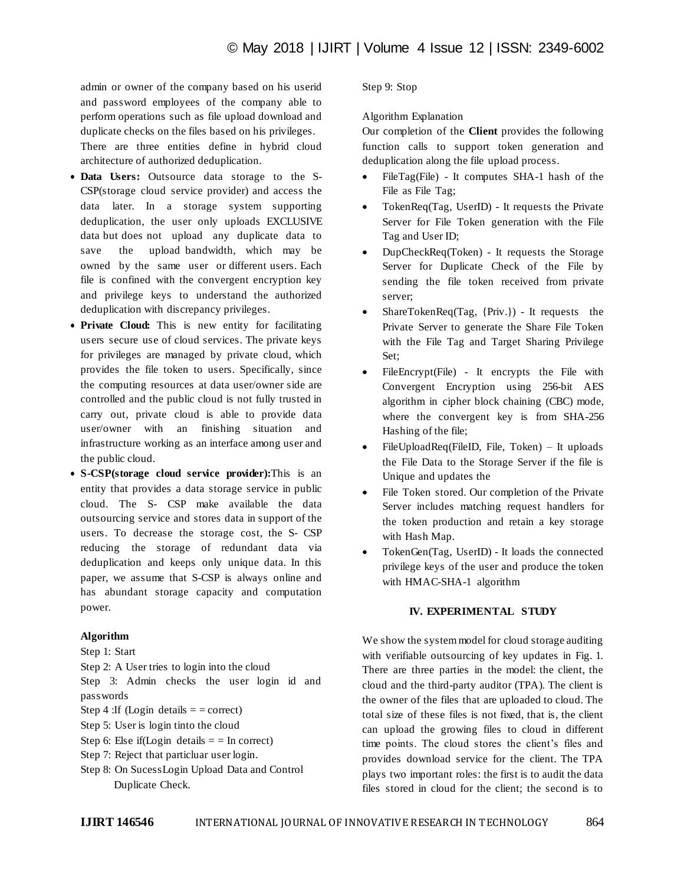admin or owner of the company based on his userid and password employees of the company able to perform operations such as file upload download and duplicate checks on the files based on his privileges. There are three entities define in hybrid cloud architecture of authorized deduplication.

- **Data Users:** Outsource data storage to the S-CSP(storage cloud service provider) and access the data later. In a storage system supporting deduplication, the user only uploads EXCLUSIVE data but does not upload any duplicate data to save the upload bandwidth, which may be owned by the same user or different users. Each file is confined with the convergent encryption key and privilege keys to understand the authorized deduplication with discrepancy privileges.
- **Private Cloud:** This is new entity for facilitating users secure use of cloud services. The private keys for privileges are managed by private cloud, which provides the file token to users. Specifically, since the computing resources at data user/owner side are controlled and the public cloud is not fully trusted in carry out, private cloud is able to provide data user/owner with an finishing situation and infrastructure working as an interface among user and the public cloud.
- **S-CSP(storage cloud service provider):**This is an entity that provides a data storage service in public cloud. The S- CSP make available the data outsourcing service and stores data in support of the users. To decrease the storage cost, the S- CSP reducing the storage of redundant data via deduplication and keeps only unique data. In this paper, we assume that S-CSP is always online and has abundant storage capacity and computation power.

# **Algorithm**

#### Step 1: Start

Step 2: A User tries to login into the cloud Step 3: Admin checks the user login id and passwords

Step 4 : If (Login details  $=$  = correct)

- Step 5: User is login tinto the cloud
- Step 6: Else if(Login details  $=$  = In correct)
- Step 7: Reject that particluar user login.
- Step 8: On SucessLogin Upload Data and Control Duplicate Check.

#### Step 9: Stop

## Algorithm Explanation

Our completion of the **Client** provides the following function calls to support token generation and deduplication along the file upload process.

- FileTag(File) It computes SHA-1 hash of the File as File Tag;
- TokenReq(Tag, UserID) It requests the Private Server for File Token generation with the File Tag and User ID;
- DupCheckReq(Token) It requests the Storage Server for Duplicate Check of the File by sending the file token received from private server;
- ShareTokenReq(Tag, {Priv.}) It requests the Private Server to generate the Share File Token with the File Tag and Target Sharing Privilege Set;
- FileEncrypt(File) It encrypts the File with Convergent Encryption using 256-bit AES algorithm in cipher block chaining (CBC) mode, where the convergent key is from SHA-256 Hashing of the file;
- FileUploadReq(FileID, File, Token) It uploads the File Data to the Storage Server if the file is Unique and updates the
- File Token stored. Our completion of the Private Server includes matching request handlers for the token production and retain a key storage with Hash Map.
- TokenGen(Tag, UserID) It loads the connected privilege keys of the user and produce the token with HMAC-SHA-1 algorithm

# **IV. EXPERIMENTAL STUDY**

We show the system model for cloud storage auditing with verifiable outsourcing of key updates in Fig. 1. There are three parties in the model: the client, the cloud and the third-party auditor (TPA). The client is the owner of the files that are uploaded to cloud. The total size of these files is not fixed, that is, the client can upload the growing files to cloud in different time points. The cloud stores the client's files and provides download service for the client. The TPA plays two important roles: the first is to audit the data files stored in cloud for the client; the second is to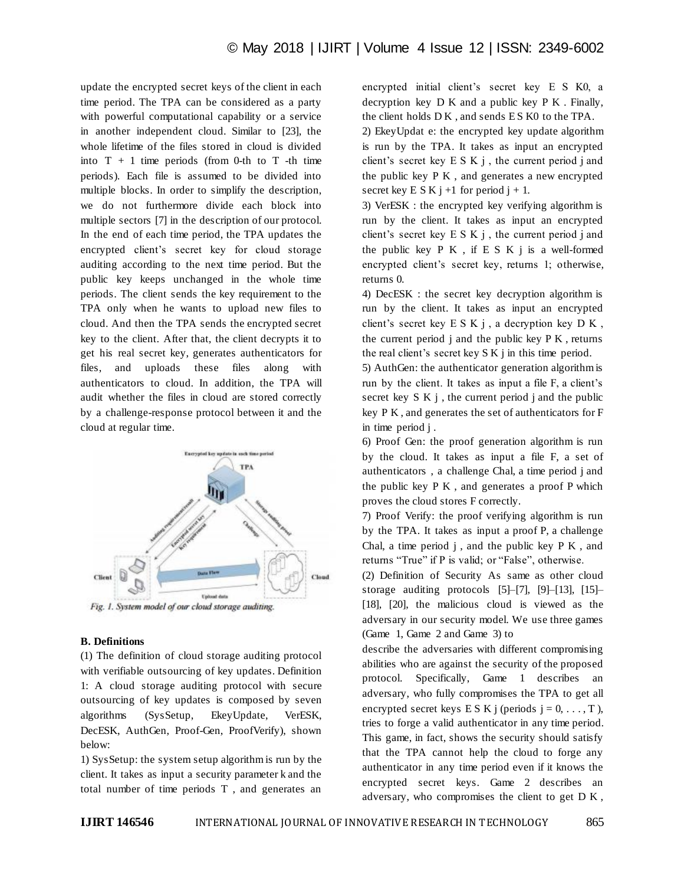update the encrypted secret keys of the client in each time period. The TPA can be considered as a party with powerful computational capability or a service in another independent cloud. Similar to [23], the whole lifetime of the files stored in cloud is divided into  $T + 1$  time periods (from 0-th to  $T$  -th time periods). Each file is assumed to be divided into multiple blocks. In order to simplify the description, we do not furthermore divide each block into multiple sectors [7] in the description of our protocol. In the end of each time period, the TPA updates the encrypted client's secret key for cloud storage auditing according to the next time period. But the public key keeps unchanged in the whole time periods. The client sends the key requirement to the TPA only when he wants to upload new files to cloud. And then the TPA sends the encrypted secret key to the client. After that, the client decrypts it to get his real secret key, generates authenticators for files, and uploads these files along with authenticators to cloud. In addition, the TPA will audit whether the files in cloud are stored correctly by a challenge-response protocol between it and the cloud at regular time.



#### **B. Definitions**

(1) The definition of cloud storage auditing protocol with verifiable outsourcing of key updates. Definition 1: A cloud storage auditing protocol with secure outsourcing of key updates is composed by seven algorithms (SysSetup, EkeyUpdate, VerESK, DecESK, AuthGen, Proof-Gen, ProofVerify), shown below:

1) SysSetup: the system setup algorithm is run by the client. It takes as input a security parameter k and the total number of time periods T , and generates an

encrypted initial client's secret key E S K0, a decryption key D K and a public key P K . Finally, the client holds DK, and sends ES K0 to the TPA.

2) EkeyUpdat e: the encrypted key update algorithm is run by the TPA. It takes as input an encrypted client's secret key  $E S K j$ , the current period j and the public key P K , and generates a new encrypted secret key E S K j +1 for period j + 1.

3) VerESK : the encrypted key verifying algorithm is run by the client. It takes as input an encrypted client's secret key  $E S K j$ , the current period j and the public key  $P K$ , if  $E S K$  i is a well-formed encrypted client's secret key, returns 1; otherwise, returns 0.

4) DecESK : the secret key decryption algorithm is run by the client. It takes as input an encrypted client's secret key  $E S K j$ , a decryption key  $D K$ , the current period  $\mathbf{j}$  and the public key P K, returns the real client's secret key S K j in this time period.

5) AuthGen: the authenticator generation algorithm is run by the client. It takes as input a file F, a client's secret key  $S K j$ , the current period j and the public key P K , and generates the set of authenticators for F in time period j .

6) Proof Gen: the proof generation algorithm is run by the cloud. It takes as input a file F, a set of authenticators , a challenge Chal, a time period j and the public key P K , and generates a proof P which proves the cloud stores F correctly.

7) Proof Verify: the proof verifying algorithm is run by the TPA. It takes as input a proof P, a challenge Chal, a time period  $j$ , and the public key  $P K$ , and returns "True" if P is valid; or "False", otherwise.

(2) Definition of Security As same as other cloud storage auditing protocols [5]–[7], [9]–[13], [15]– [18], [20], the malicious cloud is viewed as the adversary in our security model. We use three games (Game 1, Game 2 and Game 3) to

describe the adversaries with different compromising abilities who are against the security of the proposed protocol. Specifically, Game 1 describes an adversary, who fully compromises the TPA to get all encrypted secret keys E S K j (periods  $j = 0, \ldots, T$ ), tries to forge a valid authenticator in any time period. This game, in fact, shows the security should satisfy that the TPA cannot help the cloud to forge any authenticator in any time period even if it knows the encrypted secret keys. Game 2 describes an adversary, who compromises the client to get D K ,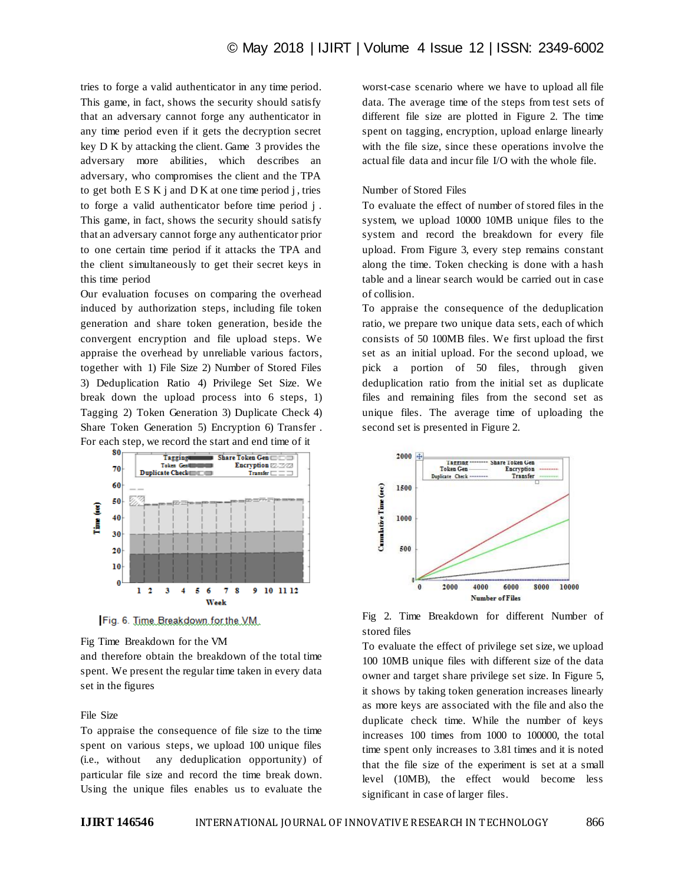tries to forge a valid authenticator in any time period. This game, in fact, shows the security should satisfy that an adversary cannot forge any authenticator in any time period even if it gets the decryption secret key D K by attacking the client. Game 3 provides the adversary more abilities, which describes an adversary, who compromises the client and the TPA to get both  $E S K j$  and  $D K$  at one time period j, tries to forge a valid authenticator before time period j . This game, in fact, shows the security should satisfy that an adversary cannot forge any authenticator prior to one certain time period if it attacks the TPA and the client simultaneously to get their secret keys in this time period

Our evaluation focuses on comparing the overhead induced by authorization steps, including file token generation and share token generation, beside the convergent encryption and file upload steps. We appraise the overhead by unreliable various factors, together with 1) File Size 2) Number of Stored Files 3) Deduplication Ratio 4) Privilege Set Size. We break down the upload process into 6 steps, 1) Tagging 2) Token Generation 3) Duplicate Check 4) Share Token Generation 5) Encryption 6) Transfer . For each step, we record the start and end time of it



Fig. 6. Time.Breakdown.for.the.V.M.

Fig Time Breakdown for the VM

and therefore obtain the breakdown of the total time spent. We present the regular time taken in every data set in the figures

# File Size

To appraise the consequence of file size to the time spent on various steps, we upload 100 unique files (i.e., without any deduplication opportunity) of particular file size and record the time break down. Using the unique files enables us to evaluate the worst-case scenario where we have to upload all file data. The average time of the steps from test sets of different file size are plotted in Figure 2. The time spent on tagging, encryption, upload enlarge linearly with the file size, since these operations involve the actual file data and incur file I/O with the whole file.

## Number of Stored Files

To evaluate the effect of number of stored files in the system, we upload 10000 10MB unique files to the system and record the breakdown for every file upload. From Figure 3, every step remains constant along the time. Token checking is done with a hash table and a linear search would be carried out in case of collision.

To appraise the consequence of the deduplication ratio, we prepare two unique data sets, each of which consists of 50 100MB files. We first upload the first set as an initial upload. For the second upload, we pick a portion of 50 files, through given deduplication ratio from the initial set as duplicate files and remaining files from the second set as unique files. The average time of uploading the second set is presented in Figure 2.

![](_page_5_Figure_13.jpeg)

Fig 2. Time Breakdown for different Number of stored files

To evaluate the effect of privilege set size, we upload 100 10MB unique files with different size of the data owner and target share privilege set size. In Figure 5, it shows by taking token generation increases linearly as more keys are associated with the file and also the duplicate check time. While the number of keys increases 100 times from 1000 to 100000, the total time spent only increases to 3.81 times and it is noted that the file size of the experiment is set at a small level (10MB), the effect would become less significant in case of larger files.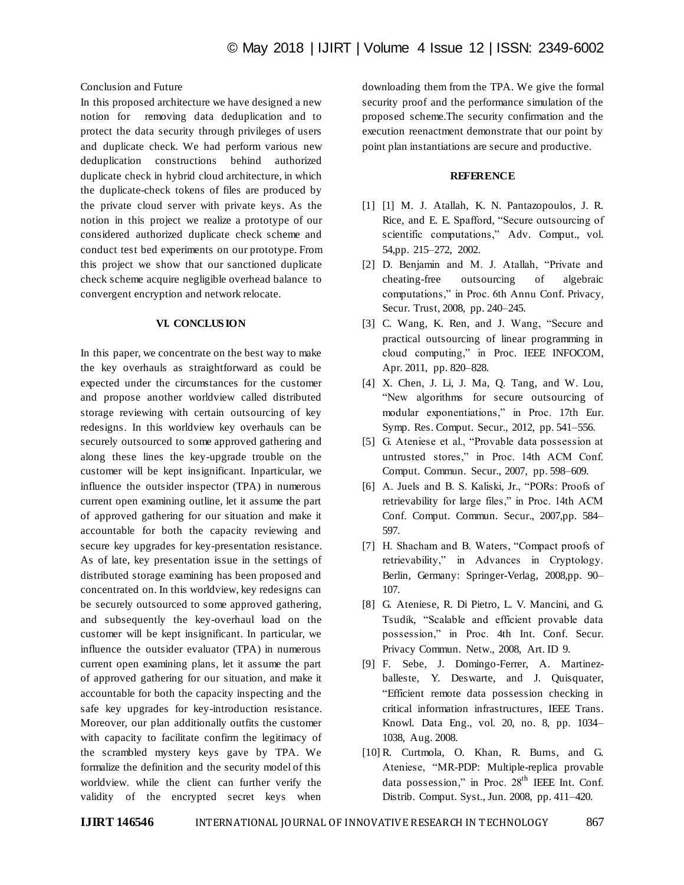# Conclusion and Future

In this proposed architecture we have designed a new notion for removing data deduplication and to protect the data security through privileges of users and duplicate check. We had perform various new deduplication constructions behind authorized duplicate check in hybrid cloud architecture, in which the duplicate-check tokens of files are produced by the private cloud server with private keys. As the notion in this project we realize a prototype of our considered authorized duplicate check scheme and conduct test bed experiments on our prototype. From this project we show that our sanctioned duplicate check scheme acquire negligible overhead balance to convergent encryption and network relocate.

#### **VI. CONCLUS ION**

In this paper, we concentrate on the best way to make the key overhauls as straightforward as could be expected under the circumstances for the customer and propose another worldview called distributed storage reviewing with certain outsourcing of key redesigns. In this worldview key overhauls can be securely outsourced to some approved gathering and along these lines the key-upgrade trouble on the customer will be kept insignificant. Inparticular, we influence the outsider inspector (TPA) in numerous current open examining outline, let it assume the part of approved gathering for our situation and make it accountable for both the capacity reviewing and secure key upgrades for key-presentation resistance. As of late, key presentation issue in the settings of distributed storage examining has been proposed and concentrated on. In this worldview, key redesigns can be securely outsourced to some approved gathering, and subsequently the key-overhaul load on the customer will be kept insignificant. In particular, we influence the outsider evaluator (TPA) in numerous current open examining plans, let it assume the part of approved gathering for our situation, and make it accountable for both the capacity inspecting and the safe key upgrades for key-introduction resistance. Moreover, our plan additionally outfits the customer with capacity to facilitate confirm the legitimacy of the scrambled mystery keys gave by TPA. We formalize the definition and the security model of this worldview. while the client can further verify the validity of the encrypted secret keys when

downloading them from the TPA. We give the formal security proof and the performance simulation of the proposed scheme.The security confirmation and the execution reenactment demonstrate that our point by point plan instantiations are secure and productive.

## **REFERENCE**

- [1] [1] M. J. Atallah, K. N. Pantazopoulos, J. R. Rice, and E. E. Spafford, "Secure outsourcing of scientific computations," Adv. Comput., vol. 54,pp. 215–272, 2002.
- [2] D. Benjamin and M. J. Atallah, "Private and cheating-free outsourcing of algebraic computations," in Proc. 6th Annu Conf. Privacy, Secur. Trust, 2008, pp. 240–245.
- [3] C. Wang, K. Ren, and J. Wang, "Secure and practical outsourcing of linear programming in cloud computing," in Proc. IEEE INFOCOM, Apr. 2011, pp. 820–828.
- [4] X. Chen, J. Li, J. Ma, Q. Tang, and W. Lou, "New algorithms for secure outsourcing of modular exponentiations," in Proc. 17th Eur. Symp. Res. Comput. Secur., 2012, pp. 541–556.
- [5] G. Ateniese et al., "Provable data possession at untrusted stores," in Proc. 14th ACM Conf. Comput. Commun. Secur., 2007, pp. 598–609.
- [6] A. Juels and B. S. Kaliski, Jr., "PORs: Proofs of retrievability for large files," in Proc. 14th ACM Conf. Comput. Commun. Secur., 2007,pp. 584– 597.
- [7] H. Shacham and B. Waters, "Compact proofs of retrievability," in Advances in Cryptology. Berlin, Germany: Springer-Verlag, 2008,pp. 90– 107.
- [8] G. Ateniese, R. Di Pietro, L. V. Mancini, and G. Tsudik, "Scalable and efficient provable data possession," in Proc. 4th Int. Conf. Secur. Privacy Commun. Netw., 2008, Art. ID 9.
- [9] F. Sebe, J. Domingo-Ferrer, A. Martinezballeste, Y. Deswarte, and J. Quisquater, "Efficient remote data possession checking in critical information infrastructures, IEEE Trans. Knowl. Data Eng., vol. 20, no. 8, pp. 1034– 1038, Aug. 2008.
- [10] R. Curtmola, O. Khan, R. Burns, and G. Ateniese, "MR-PDP: Multiple-replica provable data possession," in Proc.  $28<sup>th</sup>$  IEEE Int. Conf. Distrib. Comput. Syst., Jun. 2008, pp. 411–420.